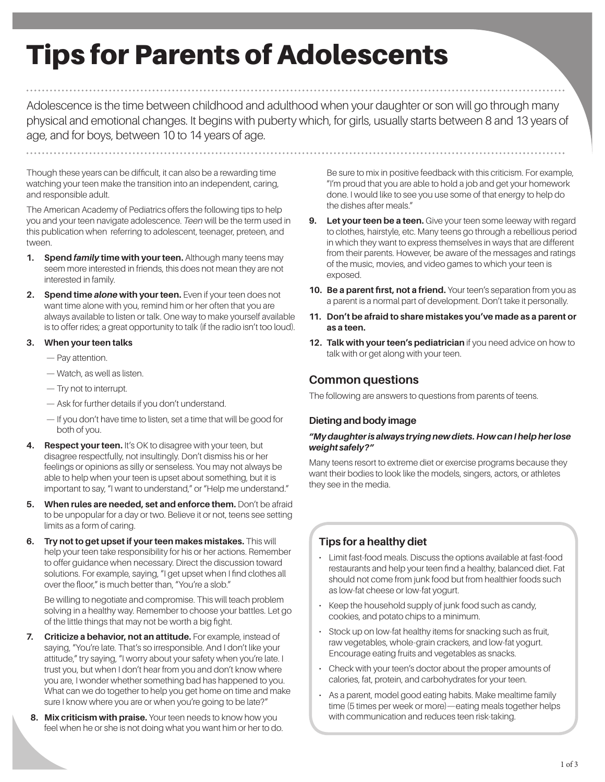# Tips for Parents of Adolescents

Adolescence is the time between childhood and adulthood when your daughter or son will go through many physical and emotional changes. It begins with puberty which, for girls, usually starts between 8 and 13 years of age, and for boys, between 10 to 14 years of age.

Though these years can be difficult, it can also be a rewarding time watching your teen make the transition into an independent, caring, and responsible adult.

The American Academy of Pediatrics offers the following tips to help you and your teen navigate adolescence. *Teen* will be the term used in this publication when referring to adolescent, teenager, preteen, and tween.

- **1.** Spend *family* time with your teen. Although many teens may seem more interested in friends, this does not mean they are not interested in family.
- **2. Spend time** *alone* **with your teen.** Even if your teen does not want time alone with you, remind him or her often that you are always available to listen or talk. One way to make yourself available is to offer rides; a great opportunity to talk (if the radio isn't too loud).

## **3. When your teen talks**

- Pay attention.
- Watch, as well as listen.
- Try not to interrupt.
- Ask for further details if you don't understand.
- If you don't have time to listen, set a time that will be good for both of you.
- **Respect your teen.** It's OK to disagree with your teen, but disagree respectfully, not insultingly. Don't dismiss his or her feelings or opinions as silly or senseless. You may not always be able to help when your teen is upset about something, but it is important to say, "I want to understand," or "Help me understand."
- **5.** When rules are needed, set and enforce them. Don't be afraid to be unpopular for a day or two. Believe it or not, teens see setting limits as a form of caring.
- **6. Try not to get upset if your teen makes mistakes.** This will help your teen take responsibility for his or her actions. Remember to offer guidance when necessary. Direct the discussion toward solutions. For example, saying, "I get upset when I find clothes all over the floor," is much better than, "You're a slob."

Be willing to negotiate and compromise. This will teach problem solving in a healthy way. Remember to choose your battles. Let go of the little things that may not be worth a big fight.

- **7. Criticize a behavior, not an attitude.** For example, instead of saying, "You're late. That's so irresponsible. And I don't like your attitude," try saying, "I worry about your safety when you're late. I trust you, but when I don't hear from you and don't know where you are, I wonder whether something bad has happened to you. What can we do together to help you get home on time and make sure I know where you are or when you're going to be late?"
- **8. Mix criticism with praise.** Your teen needs to know how you feel when he or she is not doing what you want him or her to do.

Be sure to mix in positive feedback with this criticism. For example, "I'm proud that you are able to hold a job and get your homework done. I would like to see you use some of that energy to help do the dishes after meals."

- **9.** Let your teen be a teen. Give your teen some leeway with regard to clothes, hairstyle, etc. Many teens go through a rebellious period in which they want to express themselves in ways that are different from their parents. However, be aware of the messages and ratings of the music, movies, and video games to which your teen is exposed.
- **10. Be a parent first, not a friend.** Your teen's separation from you as a parent is a normal part of development. Don't take it personally.
- **11. Don't be afraid to share mistakes you've made as a parent or as a teen.**
- **12. Talk with your teen's pediatrician** if you need advice on how to talk with or get along with your teen.

# **Common questions**

The following are answers to questions from parents of teens.

## **Dieting and body image**

#### *"My daughter is always trying new diets. How can I help her lose weight safely?"*

Many teens resort to extreme diet or exercise programs because they want their bodies to look like the models, singers, actors, or athletes they see in the media.

# **Tips for a healthy diet**

- Limit fast-food meals. Discuss the options available at fast-food restaurants and help your teen find a healthy, balanced diet. Fat should not come from junk food but from healthier foods such as low-fat cheese or low-fat yogurt.
- Keep the household supply of junk food such as candy, cookies, and potato chips to a minimum.
- Stock up on low-fat healthy items for snacking such as fruit, raw vegetables, whole-grain crackers, and low-fat yogurt. Encourage eating fruits and vegetables as snacks.
- Check with your teen's doctor about the proper amounts of calories, fat, protein, and carbohydrates for your teen.
- As a parent, model good eating habits. Make mealtime family time (5 times per week or more)—eating meals together helps with communication and reduces teen risk-taking.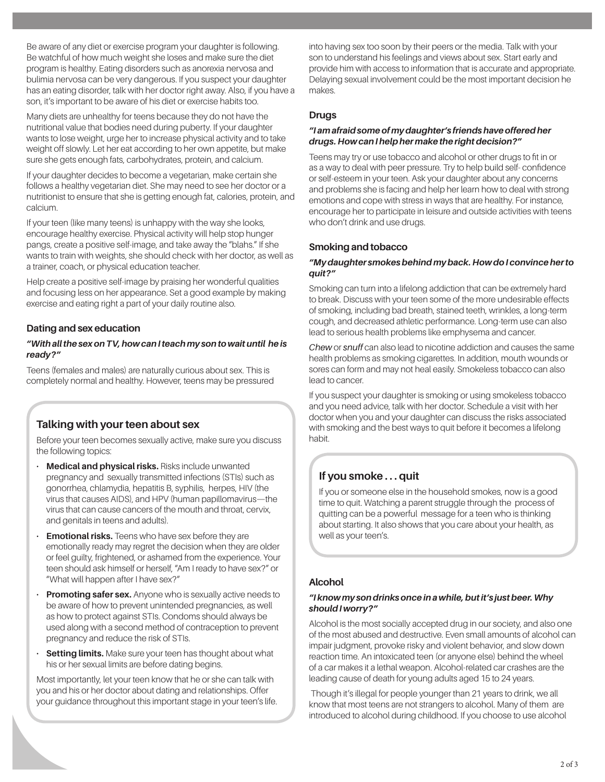Be aware of any diet or exercise program your daughter is following. Be watchful of how much weight she loses and make sure the diet program is healthy. Eating disorders such as anorexia nervosa and bulimia nervosa can be very dangerous. If you suspect your daughter has an eating disorder, talk with her doctor right away. Also, if you have a son, it's important to be aware of his diet or exercise habits too.

Many diets are unhealthy for teens because they do not have the nutritional value that bodies need during puberty. If your daughter wants to lose weight, urge her to increase physical activity and to take weight off slowly. Let her eat according to her own appetite, but make sure she gets enough fats, carbohydrates, protein, and calcium.

If your daughter decides to become a vegetarian, make certain she follows a healthy vegetarian diet. She may need to see her doctor or a nutritionist to ensure that she is getting enough fat, calories, protein, and calcium.

If your teen (like many teens) is unhappy with the way she looks, encourage healthy exercise. Physical activity will help stop hunger pangs, create a positive self-image, and take away the "blahs." If she wants to train with weights, she should check with her doctor, as well as a trainer, coach, or physical education teacher.

Help create a positive self-image by praising her wonderful qualities and focusing less on her appearance. Set a good example by making exercise and eating right a part of your daily routine also.

# **Dating and sex education**

## *"With all the sex on TV, how can I teach my son to wait until he is ready?"*

Teens (females and males) are naturally curious about sex. This is completely normal and healthy. However, teens may be pressured

# **Talking with your teen about sex**

Before your teen becomes sexually active, make sure you discuss the following topics:

- **Medical and physical risks.** Risks include unwanted pregnancy and sexually transmitted infections (STIs) such as gonorrhea, chlamydia, hepatitis B, syphilis, herpes, HIV (the virus that causes AIDS), and HPV (human papillomavirus—the virus that can cause cancers of the mouth and throat, cervix, and genitals in teens and adults).
- **Emotional risks.** Teens who have sex before they are emotionally ready may regret the decision when they are older or feel guilty, frightened, or ashamed from the experience. Your teen should ask himself or herself, "Am I ready to have sex?" or "What will happen after I have sex?"
- **Promoting safer sex.** Anyone who is sexually active needs to be aware of how to prevent unintended pregnancies, as well as how to protect against STIs. Condoms should always be used along with a second method of contraception to prevent pregnancy and reduce the risk of STIs.
- **Setting limits.** Make sure your teen has thought about what his or her sexual limits are before dating begins.

Most importantly, let your teen know that he or she can talk with you and his or her doctor about dating and relationships. Offer your guidance throughout this important stage in your teen's life. into having sex too soon by their peers or the media. Talk with your son to understand his feelings and views about sex. Start early and provide him with access to information that is accurate and appropriate. Delaying sexual involvement could be the most important decision he makes.

## **Drugs**

#### *"I am afraid some of my daughter's friends have offered her drugs. How can I help her make the right decision?"*

Teens may try or use tobacco and alcohol or other drugs to fit in or as a way to deal with peer pressure. Try to help build self- confidence or self-esteem in your teen. Ask your daughter about any concerns and problems she is facing and help her learn how to deal with strong emotions and cope with stress in ways that are healthy. For instance, encourage her to participate in leisure and outside activities with teens who don't drink and use drugs.

## **Smoking and tobacco**

#### *"My daughter smokes behind my back. How do I convince her to quit?"*

Smoking can turn into a lifelong addiction that can be extremely hard to break. Discuss with your teen some of the more undesirable effects of smoking, including bad breath, stained teeth, wrinkles, a long-term cough, and decreased athletic performance. Long-term use can also lead to serious health problems like emphysema and cancer.

*Chew* or *snuff* can also lead to nicotine addiction and causes the same health problems as smoking cigarettes. In addition, mouth wounds or sores can form and may not heal easily. Smokeless tobacco can also lead to cancer.

If you suspect your daughter is smoking or using smokeless tobacco and you need advice, talk with her doctor. Schedule a visit with her doctor when you and your daughter can discuss the risks associated with smoking and the best ways to quit before it becomes a lifelong habit.

# **If you smoke . . . quit**

If you or someone else in the household smokes, now is a good time to quit. Watching a parent struggle through the process of quitting can be a powerful message for a teen who is thinking about starting. It also shows that you care about your health, as well as your teen's.

## **Alcohol**

#### *"I know my son drinks once in a while, but it's just beer. Why should I worry?"*

Alcohol is the most socially accepted drug in our society, and also one of the most abused and destructive. Even small amounts of alcohol can impair judgment, provoke risky and violent behavior, and slow down reaction time. An intoxicated teen (or anyone else) behind the wheel of a car makes it a lethal weapon. Alcohol-related car crashes are the leading cause of death for young adults aged 15 to 24 years.

 Though it's illegal for people younger than 21 years to drink, we all know that most teens are not strangers to alcohol. Many of them are introduced to alcohol during childhood. If you choose to use alcohol